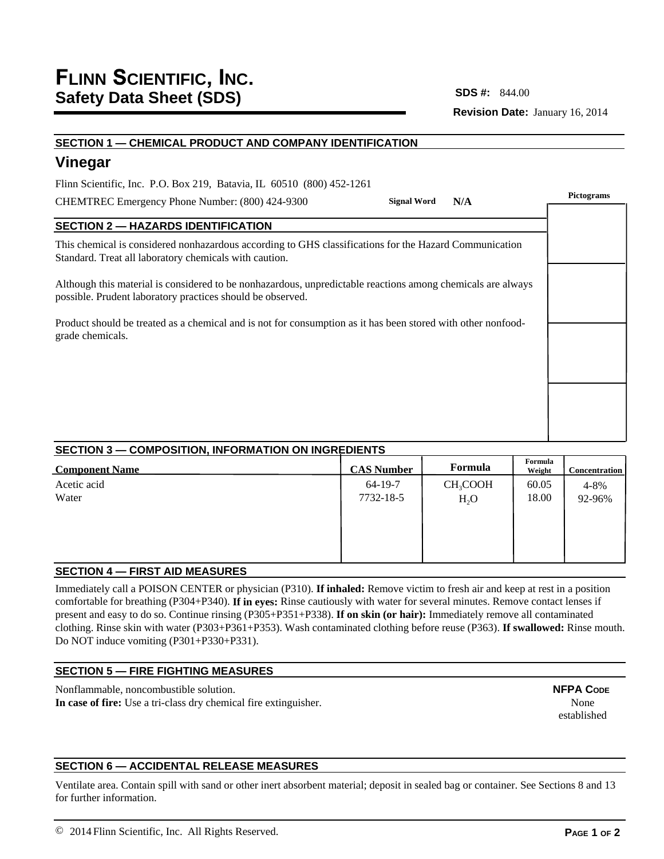# **SDS #:**

**Revision Date:** January 16, 2014

# **SECTION 1 — CHEMICAL PRODUCT AND COMPANY IDENTIFICATION Vinegar SECTION 2 — HAZARDS IDENTIFICATION** This chemical is considered nonhazardous according to GHS classifications for the Hazard Communication Standard. Treat all laboratory chemicals with caution. Although this material is considered to be nonhazardous, unpredictable reactions among chemicals are always possible. Prudent laboratory practices should be observed. Product should be treated as a chemical and is not for consumption as it has been stored with other nonfoodgrade chemicals. CHEMTREC Emergency Phone Number: (800) 424-9300 Flinn Scientific, Inc. P.O. Box 219, Batavia, IL 60510 (800) 452-1261 **Pictograms Signal Word N/A**

# **SECTION 3 — COMPOSITION, INFORMATION ON INGREDIENTS**

| <b>Component Name</b> | <b>CAS Number</b> | Formula              | Formula<br>Weight | <b>Concentration</b> |
|-----------------------|-------------------|----------------------|-------------------|----------------------|
| Acetic acid           | $64-19-7$         | CH <sub>3</sub> COOH | 60.05             | 4-8%                 |
| Water                 | 7732-18-5         | $H_2O$               | 18.00             | 92-96%               |
|                       |                   |                      |                   |                      |
|                       |                   |                      |                   |                      |
|                       |                   |                      |                   |                      |
|                       |                   |                      |                   |                      |

# **SECTION 4 — FIRST AID MEASURES**

Immediately call a POISON CENTER or physician (P310). **If inhaled:** Remove victim to fresh air and keep at rest in a position comfortable for breathing (P304+P340). **If in eyes:** Rinse cautiously with water for several minutes. Remove contact lenses if present and easy to do so. Continue rinsing (P305+P351+P338). **If on skin (or hair):** Immediately remove all contaminated clothing. Rinse skin with water (P303+P361+P353). Wash contaminated clothing before reuse (P363). **If swallowed:** Rinse mouth. Do NOT induce vomiting (P301+P330+P331).

# **SECTION 5 — FIRE FIGHTING MEASURES**

Nonflammable, noncombustible solution. **In case of fire:** Use a tri-class dry chemical fire extinguisher. **NFPA CODE** None established

# **SECTION 6 — ACCIDENTAL RELEASE MEASURES**

Ventilate area. Contain spill with sand or other inert absorbent material; deposit in sealed bag or container. See Sections 8 and 13 for further information.